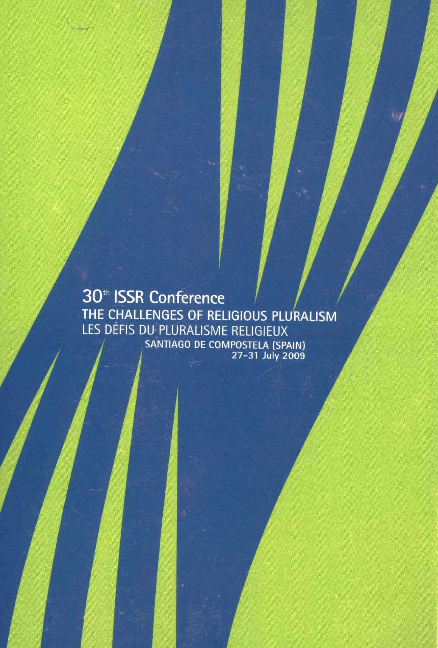30<sup>th</sup> ISSR Conference THE CHALLENGES OF RELIGIOUS PLURALISM<br>LES DÉFIS DU PLURALISME RELIGIEUX SANTIAGO DE COMPOSTELA (SPAIN)<br>27-31 July 2009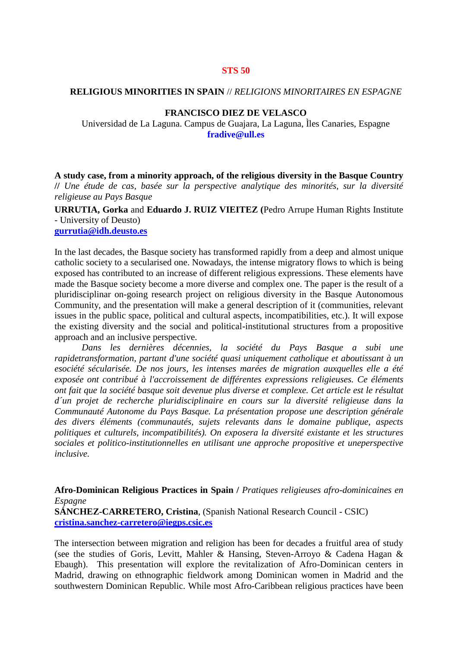### **STS 50**

### **RELIGIOUS MINORITIES IN SPAIN** // *RELIGIONS MINORITAIRES EN ESPAGNE*

#### **FRANCISCO DIEZ DE VELASCO**

Universidad de La Laguna. Campus de Guajara, La Laguna, Ìles Canaries, Espagne **fradive@ull.es**

**A study case, from a minority approach, of the religious diversity in the Basque Country //** *Une étude de cas, basée sur la perspective analytique des minorités, sur la diversité religieuse au Pays Basque*

**URRUTIA, Gorka** and **Eduardo J. RUIZ VIEITEZ (**Pedro Arrupe Human Rights Institute - University of Deusto)

## **[gurrutia@idh.deusto.es](../../Local%20Settings/Temporary%20Internet%20Files/Content.IE5/WJ1ONPFU/gurrutia@idh.deusto.es)**

In the last decades, the Basque society has transformed rapidly from a deep and almost unique catholic society to a secularised one. Nowadays, the intense migratory flows to which is being exposed has contributed to an increase of different religious expressions. These elements have made the Basque society become a more diverse and complex one. The paper is the result of a pluridisciplinar on-going research project on religious diversity in the Basque Autonomous Community, and the presentation will make a general description of it (communities, relevant issues in the public space, political and cultural aspects, incompatibilities, etc.). It will expose the existing diversity and the social and political-institutional structures from a propositive approach and an inclusive perspective.

*Dans les dernières décennies, la société du Pays Basque a subi une rapidetransformation, partant d'une société quasi uniquement catholique et aboutissant à un esociété sécularisée. De nos jours, les intenses marées de migration auxquelles elle a été exposée ont contribué à l'accroissement de différentes expressions religieuses. Ce éléments ont fait que la société basque soit devenue plus diverse et complexe. Cet article est le résultat d´un projet de recherche pluridisciplinaire en cours sur la diversité religieuse dans la Communauté Autonome du Pays Basque. La présentation propose une description générale des divers éléments (communautés, sujets relevants dans le domaine publique, aspects politiques et culturels, incompatibilités). On exposera la diversité existante et les structures sociales et politico-institutionnelles en utilisant une approche propositive et uneperspective inclusive.*

**Afro-Dominican Religious Practices in Spain /** *Pratiques religieuses afro-dominicaines en Espagne* **SÁNCHEZ-CARRETERO, Cristina**, (Spanish National Research Council - CSIC)

**[cristina.sanchez-carretero@iegps.csic.es](mailto:cristina.sanchez-carretero@iegps.csic.es)**

The intersection between migration and religion has been for decades a fruitful area of study (see the studies of Goris, Levitt, Mahler & Hansing, Steven-Arroyo & Cadena Hagan & Ebaugh). This presentation will explore the revitalization of Afro-Dominican centers in Madrid, drawing on ethnographic fieldwork among Dominican women in Madrid and the southwestern Dominican Republic. While most Afro-Caribbean religious practices have been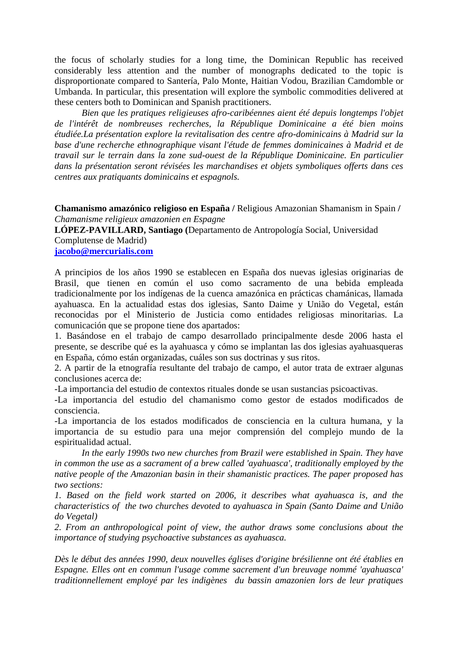the focus of scholarly studies for a long time, the Dominican Republic has received considerably less attention and the number of monographs dedicated to the topic is disproportionate compared to Santería, Palo Monte, Haitian Vodou, Brazilian Camdomble or Umbanda. In particular, this presentation will explore the symbolic commodities delivered at these centers both to Dominican and Spanish practitioners.

*Bien que les pratiques religieuses afro-caribéennes aient été depuis longtemps l'objet de l'intérêt de nombreuses recherches, la République Dominicaine a été bien moins étudiée.La présentation explore la revitalisation des centre afro-dominicains à Madrid sur la base d'une recherche ethnographique visant l'étude de femmes dominicaines à Madrid et de travail sur le terrain dans la zone sud-ouest de la République Dominicaine. En particulier dans la présentation seront révisées les marchandises et objets symboliques offerts dans ces centres aux pratiquants dominicains et espagnols.*

**Chamanismo amazónico religioso en España /** Religious Amazonian Shamanism in Spain **/**  *Chamanisme religieux amazonien en Espagne*

**LÓPEZ-PAVILLARD, Santiago (**Departamento de Antropología Social, Universidad Complutense de Madrid)

**[jacobo@mercurialis.com](../../Local%20Settings/Temporary%20Internet%20Files/Content.IE5/WJ1ONPFU/jacobo@mercurialis.com)**

A principios de los años 1990 se establecen en España dos nuevas iglesias originarias de Brasil, que tienen en común el uso como sacramento de una bebida empleada tradicionalmente por los indígenas de la cuenca amazónica en prácticas chamánicas, llamada ayahuasca. En la actualidad estas dos iglesias, Santo Daime y União do Vegetal, están reconocidas por el Ministerio de Justicia como entidades religiosas minoritarias. La comunicación que se propone tiene dos apartados:

1. Basándose en el trabajo de campo desarrollado principalmente desde 2006 hasta el presente, se describe qué es la ayahuasca y cómo se implantan las dos iglesias ayahuasqueras en España, cómo están organizadas, cuáles son sus doctrinas y sus ritos.

2. A partir de la etnografía resultante del trabajo de campo, el autor trata de extraer algunas conclusiones acerca de:

-La importancia del estudio de contextos rituales donde se usan sustancias psicoactivas.

-La importancia del estudio del chamanismo como gestor de estados modificados de consciencia.

-La importancia de los estados modificados de consciencia en la cultura humana, y la importancia de su estudio para una mejor comprensión del complejo mundo de la espiritualidad actual.

*In the early 1990s two new churches from Brazil were established in Spain. They have in common the use as a sacrament of a brew called 'ayahuasca', traditionally employed by the native people of the Amazonian basin in their shamanistic practices. The paper proposed has two sections:*

*1. Based on the field work started on 2006, it describes what ayahuasca is, and the characteristics of the two churches devoted to ayahuasca in Spain (Santo Daime and União do Vegetal)* 

*2. From an anthropological point of view, the author draws some conclusions about the importance of studying psychoactive substances as ayahuasca.*

*Dès le début des années 1990, deux nouvelles églises d'origine brésilienne ont été établies en Espagne. Elles ont en commun l'usage comme sacrement d'un breuvage nommé 'ayahuasca' traditionnellement employé par les indigènes du bassin amazonien lors de leur pratiques*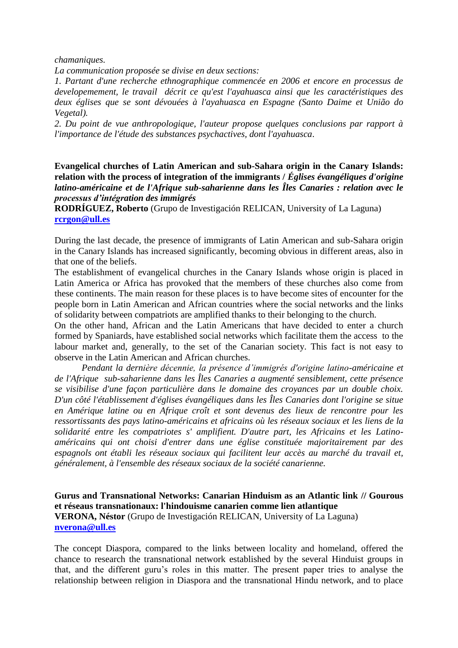*chamaniques.*

*La communication proposée se divise en deux sections:*

*1. Partant d'une recherche ethnographique commencée en 2006 et encore en processus de developemement, le travail décrit ce qu'est l'ayahuasca ainsi que les caractéristiques des deux églises que se sont dévouées à l'ayahuasca en Espagne (Santo Daime et União do Vegetal).*

*2. Du point de vue anthropologique, l'auteur propose quelques conclusions par rapport à l'importance de l'étude des substances psychactives, dont l'ayahuasca*.

**Evangelical churches of Latin American and sub-Sahara origin in the Canary Islands: relation with the process of integration of the immigrants /** *Églises évangéliques d'origine latino-américaine et de l'Afrique sub-saharienne dans les Îles Canaries : relation avec le processus d'intégration des immigrés*

**RODRÍGUEZ, Roberto** (Grupo de Investigación RELICAN, University of La Laguna) **[rcrgon@ull.es](../../Local%20Settings/Temporary%20Internet%20Files/Content.IE5/WJ1ONPFU/rcrgon@ull.es)**

During the last decade, the presence of immigrants of Latin American and sub-Sahara origin in the Canary Islands has increased significantly, becoming obvious in different areas, also in that one of the beliefs.

The establishment of evangelical churches in the Canary Islands whose origin is placed in Latin America or Africa has provoked that the members of these churches also come from these continents. The main reason for these places is to have become sites of encounter for the people born in Latin American and African countries where the social networks and the links of solidarity between compatriots are amplified thanks to their belonging to the church.

On the other hand, African and the Latin Americans that have decided to enter a church formed by Spaniards, have established social networks which facilitate them the access to the labour market and, generally, to the set of the Canarian society. This fact is not easy to observe in the Latin American and African churches.

*Pendant la dernière décennie, la présence d'immigrés d'origine latino-américaine et de l'Afrique sub-saharienne dans les Îles Canaries a augmenté sensiblement, cette présence se visibilise d'une façon particulière dans le domaine des croyances par un double choix. D'un côté l'établissement d'églises évangéliques dans les Îles Canaries dont l'origine se situe en Amérique latine ou en Afrique croît et sont devenus des lieux de rencontre pour les ressortissants des pays latino-américains et africains où les réseaux sociaux et les liens de la solidarité entre les compatriotes s' amplifient. D'autre part, les Africains et les Latinoaméricains qui ont choisi d'entrer dans une église constituée majoritairement par des espagnols ont établi les réseaux sociaux qui facilitent leur accès au marché du travail et, généralement, à l'ensemble des réseaux sociaux de la société canarienne.*

**Gurus and Transnational Networks: Canarian Hinduism as an Atlantic link // Gourous et réseaus transnationaux: l'hindouisme canarien comme lien atlantique VERONA, Néstor** (Grupo de Investigación RELICAN, University of La Laguna) **[nverona@ull.es](../../Local%20Settings/Temporary%20Internet%20Files/Content.IE5/WJ1ONPFU/nverona@ull.es)**

The concept Diaspora, compared to the links between locality and homeland, offered the chance to research the transnational network established by the several Hinduist groups in that, and the different guru's roles in this matter. The present paper tries to analyse the relationship between religion in Diaspora and the transnational Hindu network, and to place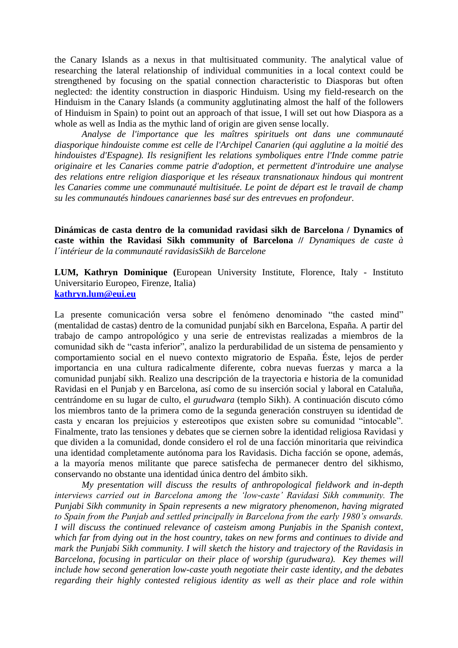the Canary Islands as a nexus in that multisituated community. The analytical value of researching the lateral relationship of individual communities in a local context could be strengthened by focusing on the spatial connection characteristic to Diasporas but often neglected: the identity construction in diasporic Hinduism. Using my field-research on the Hinduism in the Canary Islands (a community agglutinating almost the half of the followers of Hinduism in Spain) to point out an approach of that issue, I will set out how Diaspora as a whole as well as India as the mythic land of origin are given sense locally.

*Analyse de l'importance que les maîtres spirituels ont dans une communauté diasporique hindouiste comme est celle de l'Archipel Canarien (qui agglutine a la moitié des hindouistes d'Espagne). Ils resignifient les relations symboliques entre l'Inde comme patrie originaire et les Canaries comme patrie d'adoption, et permettent d'introduire une analyse des relations entre religion diasporique et les réseaux transnationaux hindous qui montrent*  les Canaries comme une communauté multisituée. Le point de départ est le travail de champ *su les communautés hindoues canariennes basé sur des entrevues en profondeur.*

**Dinámicas de casta dentro de la comunidad ravidasi sikh de Barcelona / Dynamics of caste within the Ravidasi Sikh community of Barcelona //** *Dynamiques de caste à l´intérieur de la communauté ravidasisSikh de Barcelone*

**LUM, Kathryn Dominique (**European University Institute, Florence, Italy - Instituto Universitario Europeo, Firenze, Italia) **[kathryn.lum@eui.eu](mailto:kathryn.lum@eui.eu)**

La presente comunicación versa sobre el fenómeno denominado "the casted mind" (mentalidad de castas) dentro de la comunidad punjabí sikh en Barcelona, España. A partir del trabajo de campo antropológico y una serie de entrevistas realizadas a miembros de la comunidad sikh de "casta inferior", analizo la perdurabilidad de un sistema de pensamiento y comportamiento social en el nuevo contexto migratorio de España. Éste, lejos de perder importancia en una cultura radicalmente diferente, cobra nuevas fuerzas y marca a la comunidad punjabí sikh. Realizo una descripción de la trayectoria e historia de la comunidad Ravidasi en el Punjab y en Barcelona, así como de su inserción social y laboral en Cataluña, centrándome en su lugar de culto, el *gurudwara* (templo Sikh). A continuación discuto cómo los miembros tanto de la primera como de la segunda generación construyen su identidad de casta y encaran los prejuicios y estereotipos que existen sobre su comunidad "intocable". Finalmente, trato las tensiones y debates que se ciernen sobre la identidad religiosa Ravidasi y que dividen a la comunidad, donde considero el rol de una facción minoritaria que reivindica una identidad completamente autónoma para los Ravidasis. Dicha facción se opone, además, a la mayoría menos militante que parece satisfecha de permanecer dentro del sikhismo, conservando no obstante una identidad única dentro del ámbito sikh.

*My presentation will discuss the results of anthropological fieldwork and in-depth interviews carried out in Barcelona among the 'low-caste' Ravidasi Sikh community. The Punjabi Sikh community in Spain represents a new migratory phenomenon, having migrated to Spain from the Punjab and settled principally in Barcelona from the early 1980's onwards. I will discuss the continued relevance of casteism among Punjabis in the Spanish context, which far from dying out in the host country, takes on new forms and continues to divide and mark the Punjabi Sikh community. I will sketch the history and trajectory of the Ravidasis in Barcelona, focusing in particular on their place of worship (gurudwara). Key themes will include how second generation low-caste youth negotiate their caste identity, and the debates regarding their highly contested religious identity as well as their place and role within*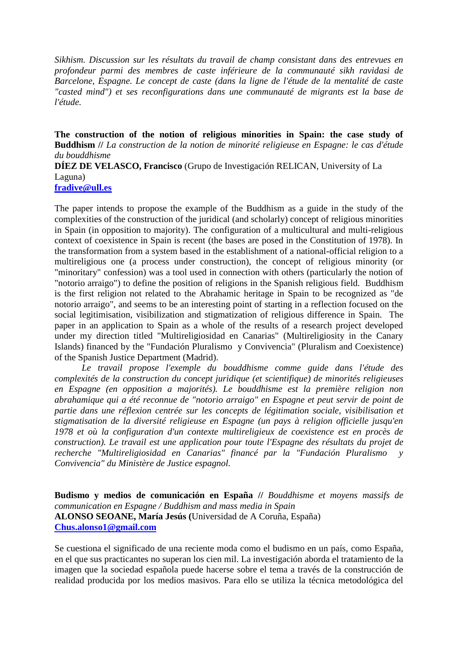*Sikhism. Discussion sur les résultats du travail de champ consistant dans des entrevues en profondeur parmi des membres de caste inférieure de la communauté sikh ravidasi de Barcelone, Espagne. Le concept de caste (dans la ligne de l'étude de la mentalité de caste "casted mind") et ses reconfigurations dans une communauté de migrants est la base de l'étude.*

**The construction of the notion of religious minorities in Spain: the case study of Buddhism //** *La construction de la notion de minorité religieuse en Espagne: le cas d'étude du bouddhisme* **DÍEZ DE VELASCO, Francisco** (Grupo de Investigación RELICAN, University of La Laguna)

**[fradive@ull.es](../../Local%20Settings/Temporary%20Internet%20Files/Content.IE5/WJ1ONPFU/nverona@ull.es)**

The paper intends to propose the example of the Buddhism as a guide in the study of the complexities of the construction of the juridical (and scholarly) concept of religious minorities in Spain (in opposition to majority). The configuration of a multicultural and multi-religious context of coexistence in Spain is recent (the bases are posed in the Constitution of 1978). In the transformation from a system based in the establishment of a national-official religion to a multireligious one (a process under construction), the concept of religious minority (or "minoritary" confession) was a tool used in connection with others (particularly the notion of "notorio arraigo") to define the position of religions in the Spanish religious field. Buddhism is the first religion not related to the Abrahamic heritage in Spain to be recognized as "de notorio arraigo", and seems to be an interesting point of starting in a reflection focused on the social legitimisation, visibilization and stigmatization of religious difference in Spain. The paper in an application to Spain as a whole of the results of a research project developed under my direction titled "Multireligiosidad en Canarias" (Multireligiosity in the Canary Islands) financed by the "Fundación Pluralismo y Convivencia" (Pluralism and Coexistence) of the Spanish Justice Department (Madrid).

*Le travail propose l'exemple du bouddhisme comme guide dans l'étude des complexités de la construction du concept juridique (et scientifique) de minorités religieuses en Espagne (en opposition a majorités). Le bouddhisme est la première religion non abrahamique qui a été reconnue de "notorio arraigo" en Espagne et peut servir de point de partie dans une réflexion centrée sur les concepts de légitimation sociale, visibilisation et stigmatisation de la diversité religieuse en Espagne (un pays à religion officielle jusqu'en 1978 et où la configuration d'un contexte multireligieux de coexistence est en procès de construction). Le travail est une application pour toute l'Espagne des résultats du projet de recherche "Multireligiosidad en Canarias" financé par la "Fundación Pluralismo y Convivencia" du Ministère de Justice espagnol.*

**Budismo y medios de comunicación en España //** *Bouddhisme et moyens massifs de communication en Espagne / Buddhism and mass media in Spain* **ALONSO SEOANE, María Jesús (**Universidad de A Coruña, España) **[Chus.alonso1@gmail.com](mailto:Chus.alonso1@gmail.com)**

Se cuestiona el significado de una reciente moda como el budismo en un país, como España, en el que sus practicantes no superan los cien mil. La investigación aborda el tratamiento de la imagen que la sociedad española puede hacerse sobre el tema a través de la construcción de realidad producida por los medios masivos. Para ello se utiliza la técnica metodológica del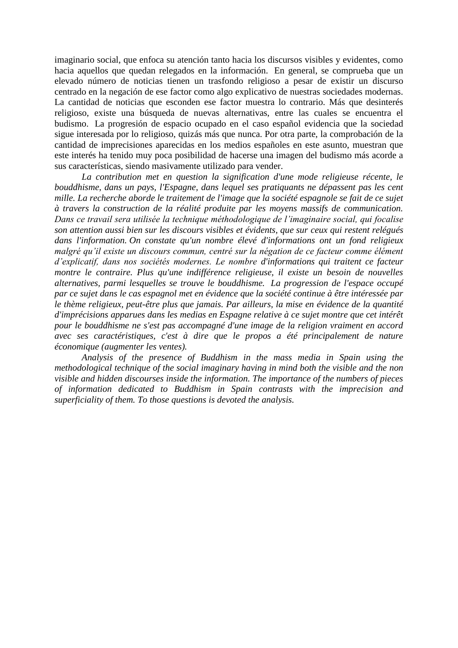imaginario social, que enfoca su atención tanto hacia los discursos visibles y evidentes, como hacia aquellos que quedan relegados en la información. En general, se comprueba que un elevado número de noticias tienen un trasfondo religioso a pesar de existir un discurso centrado en la negación de ese factor como algo explicativo de nuestras sociedades modernas. La cantidad de noticias que esconden ese factor muestra lo contrario. Más que desinterés religioso, existe una búsqueda de nuevas alternativas, entre las cuales se encuentra el budismo. La progresión de espacio ocupado en el caso español evidencia que la sociedad sigue interesada por lo religioso, quizás más que nunca. Por otra parte, la comprobación de la cantidad de imprecisiones aparecidas en los medios españoles en este asunto, muestran que este interés ha tenido muy poca posibilidad de hacerse una imagen del budismo más acorde a sus características, siendo masivamente utilizado para vender.

*La contribution met en question la signification d'une mode religieuse récente, le bouddhisme, dans un pays, l'Espagne, dans lequel ses pratiquants ne dépassent pas les cent mille. La recherche aborde le traitement de l'image que la société espagnole se fait de ce sujet à travers la construction de la réalité produite par les moyens massifs de communication. Dans ce travail sera utilisée la technique méthodologique de l'imaginaire social, qui focalise son attention aussi bien sur les discours visibles et évidents, que sur ceux qui restent relégués dans l'information. On constate qu'un nombre élevé d'informations ont un fond religieux malgré qu'il existe un discours commun, centré sur la négation de ce facteur comme élément d'explicatif, dans nos sociétés modernes. Le nombre d'informations qui traitent ce facteur montre le contraire. Plus qu'une indifférence religieuse, il existe un besoin de nouvelles alternatives, parmi lesquelles se trouve le bouddhisme. La progression de l'espace occupé par ce sujet dans le cas espagnol met en évidence que la société continue à être intéressée par le thème religieux, peut-être plus que jamais. Par ailleurs, la mise en évidence de la quantité d'imprécisions apparues dans les medias en Espagne relative à ce sujet montre que cet intérêt pour le bouddhisme ne s'est pas accompagné d'une image de la religion vraiment en accord avec ses caractéristiques, c'est à dire que le propos a été principalement de nature économique (augmenter les ventes).*

*Analysis of the presence of Buddhism in the mass media in Spain using the methodological technique of the social imaginary having in mind both the visible and the non visible and hidden discourses inside the information. The importance of the numbers of pieces of information dedicated to Buddhism in Spain contrasts with the imprecision and superficiality of them. To those questions is devoted the analysis.*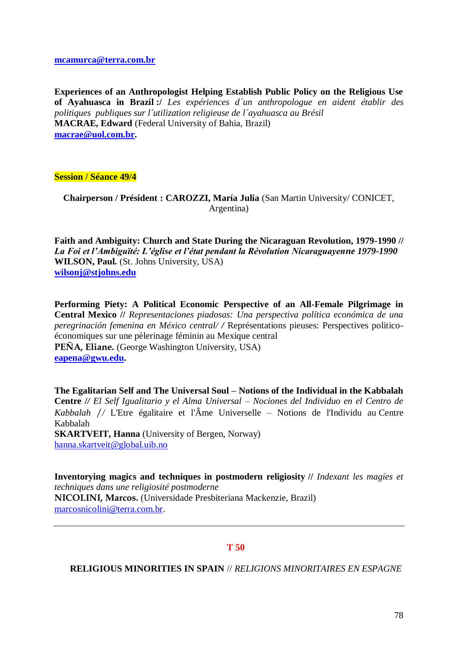

#### **RELIGIOUS MINORITIES IN SPAIN** // *RELIGIONS MINORITAIRES EN ESPAGNE*

78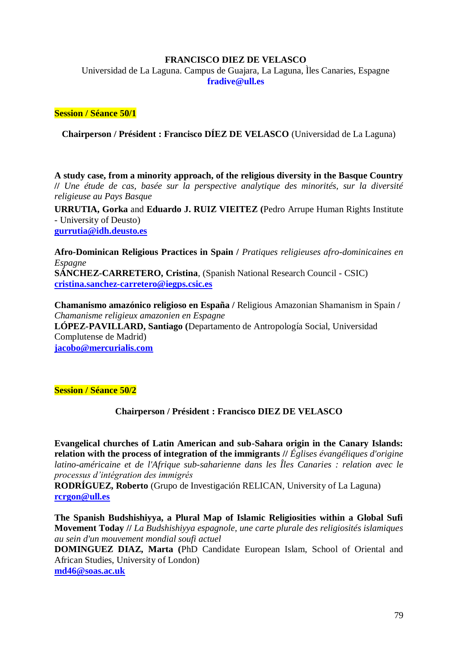## **FRANCISCO DIEZ DE VELASCO**

Universidad de La Laguna. Campus de Guajara, La Laguna, Ìles Canaries, Espagne **fradive@ull.es**

## **Session / Séance 50/1**

**Chairperson / Président : Francisco DÍEZ DE VELASCO** (Universidad de La Laguna)

**A study case, from a minority approach, of the religious diversity in the Basque Country //** *Une étude de cas, basée sur la perspective analytique des minorités, sur la diversité religieuse au Pays Basque*

**URRUTIA, Gorka** and **Eduardo J. RUIZ VIEITEZ (**Pedro Arrupe Human Rights Institute - University of Deusto) **[gurrutia@idh.deusto.es](../../Local%20Settings/Temporary%20Internet%20Files/Content.IE5/WJ1ONPFU/gurrutia@idh.deusto.es)**

**Afro-Dominican Religious Practices in Spain /** *Pratiques religieuses afro-dominicaines en Espagne* **SÁNCHEZ-CARRETERO, Cristina**, (Spanish National Research Council - CSIC) **[cristina.sanchez-carretero@iegps.csic.es](mailto:cristina.sanchez-carretero@iegps.csic.es)**

**Chamanismo amazónico religioso en España /** Religious Amazonian Shamanism in Spain **/**  *Chamanisme religieux amazonien en Espagne* **LÓPEZ-PAVILLARD, Santiago (**Departamento de Antropología Social, Universidad Complutense de Madrid) **[jacobo@mercurialis.com](../../Local%20Settings/Temporary%20Internet%20Files/Content.IE5/WJ1ONPFU/jacobo@mercurialis.com)**

### **Session / Séance 50/2**

# **Chairperson / Président : Francisco DIEZ DE VELASCO**

**Evangelical churches of Latin American and sub-Sahara origin in the Canary Islands: relation with the process of integration of the immigrants //** *Églises évangéliques d'origine latino-américaine et de l'Afrique sub-saharienne dans les Îles Canaries : relation avec le processus d'intégration des immigrés*

**RODRÍGUEZ, Roberto** (Grupo de Investigación RELICAN, University of La Laguna) **[rcrgon@ull.es](../../Local%20Settings/Temporary%20Internet%20Files/Content.IE5/WJ1ONPFU/rcrgon@ull.es)**

**The Spanish Budshishiyya, a Plural Map of Islamic Religiosities within a Global Sufi Movement Today //** *La Budshishiyya espagnole, une carte plurale des religiosités islamiques au sein d'un mouvement mondial soufi actuel*

**DOMINGUEZ DIAZ, Marta (**PhD Candidate European Islam, School of Oriental and African Studies, University of London) **[md46@soas.ac.uk](../../Local%20Settings/Temporary%20Internet%20Files/Content.IE5/WJ1ONPFU/md46@soas.ac.uk)**